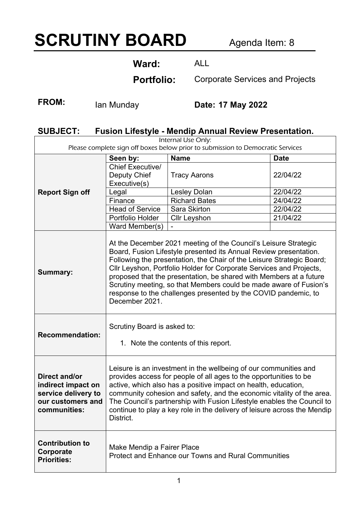# **SCRUTINY BOARD** Agenda Item: 8

**Ward:** ALL

**Portfolio:** Corporate Services and Projects

FROM: Ian Munday **Date: 17 May 2022** 

## **SUBJECT: Fusion Lifestyle - Mendip Annual Review Presentation.**

| Internal Use Only:<br>Please complete sign off boxes below prior to submission to Democratic Services  |                                                                                                                                                                                                                                                                                                                                                                                                                                                     |                                                                                                                                                                                                                                                                                                                                                                                                                                                                                                   |             |
|--------------------------------------------------------------------------------------------------------|-----------------------------------------------------------------------------------------------------------------------------------------------------------------------------------------------------------------------------------------------------------------------------------------------------------------------------------------------------------------------------------------------------------------------------------------------------|---------------------------------------------------------------------------------------------------------------------------------------------------------------------------------------------------------------------------------------------------------------------------------------------------------------------------------------------------------------------------------------------------------------------------------------------------------------------------------------------------|-------------|
|                                                                                                        | Seen by:                                                                                                                                                                                                                                                                                                                                                                                                                                            | <b>Name</b>                                                                                                                                                                                                                                                                                                                                                                                                                                                                                       | <b>Date</b> |
| <b>Report Sign off</b>                                                                                 | <b>Chief Executive/</b><br>Deputy Chief<br>Executive(s)                                                                                                                                                                                                                                                                                                                                                                                             | <b>Tracy Aarons</b>                                                                                                                                                                                                                                                                                                                                                                                                                                                                               | 22/04/22    |
|                                                                                                        | Legal                                                                                                                                                                                                                                                                                                                                                                                                                                               | <b>Lesley Dolan</b>                                                                                                                                                                                                                                                                                                                                                                                                                                                                               | 22/04/22    |
|                                                                                                        | Finance                                                                                                                                                                                                                                                                                                                                                                                                                                             | <b>Richard Bates</b>                                                                                                                                                                                                                                                                                                                                                                                                                                                                              | 24/04/22    |
|                                                                                                        | <b>Head of Service</b>                                                                                                                                                                                                                                                                                                                                                                                                                              | <b>Sara Skirton</b>                                                                                                                                                                                                                                                                                                                                                                                                                                                                               | 22/04/22    |
|                                                                                                        | Portfolio Holder                                                                                                                                                                                                                                                                                                                                                                                                                                    | <b>Cllr Leyshon</b>                                                                                                                                                                                                                                                                                                                                                                                                                                                                               | 21/04/22    |
|                                                                                                        | Ward Member(s)                                                                                                                                                                                                                                                                                                                                                                                                                                      |                                                                                                                                                                                                                                                                                                                                                                                                                                                                                                   |             |
| <b>Summary:</b>                                                                                        | December 2021.                                                                                                                                                                                                                                                                                                                                                                                                                                      | At the December 2021 meeting of the Council's Leisure Strategic<br>Board, Fusion Lifestyle presented its Annual Review presentation.<br>Following the presentation, the Chair of the Leisure Strategic Board;<br>Cllr Leyshon, Portfolio Holder for Corporate Services and Projects,<br>proposed that the presentation, be shared with Members at a future<br>Scrutiny meeting, so that Members could be made aware of Fusion's<br>response to the challenges presented by the COVID pandemic, to |             |
| <b>Recommendation:</b>                                                                                 | Scrutiny Board is asked to:                                                                                                                                                                                                                                                                                                                                                                                                                         | 1. Note the contents of this report.                                                                                                                                                                                                                                                                                                                                                                                                                                                              |             |
| <b>Direct and/or</b><br>indirect impact on<br>service delivery to<br>our customers and<br>communities: | Leisure is an investment in the wellbeing of our communities and<br>provides access for people of all ages to the opportunities to be<br>active, which also has a positive impact on health, education,<br>community cohesion and safety, and the economic vitality of the area.<br>The Council's partnership with Fusion Lifestyle enables the Council to<br>continue to play a key role in the delivery of leisure across the Mendip<br>District. |                                                                                                                                                                                                                                                                                                                                                                                                                                                                                                   |             |
| <b>Contribution to</b><br>Corporate<br><b>Priorities:</b>                                              | Make Mendip a Fairer Place                                                                                                                                                                                                                                                                                                                                                                                                                          | <b>Protect and Enhance our Towns and Rural Communities</b>                                                                                                                                                                                                                                                                                                                                                                                                                                        |             |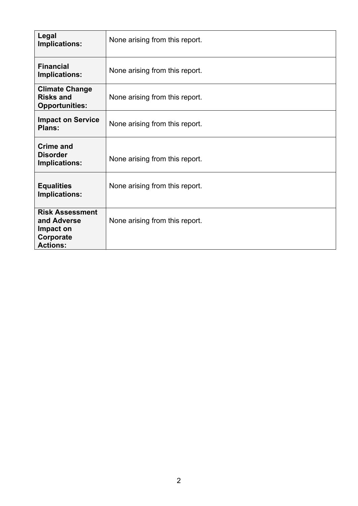| Legal<br>Implications:                                                             | None arising from this report. |  |
|------------------------------------------------------------------------------------|--------------------------------|--|
| <b>Financial</b><br>Implications:                                                  | None arising from this report. |  |
| <b>Climate Change</b><br><b>Risks and</b><br><b>Opportunities:</b>                 | None arising from this report. |  |
| <b>Impact on Service</b><br>Plans:                                                 | None arising from this report. |  |
| <b>Crime and</b><br><b>Disorder</b><br>Implications:                               | None arising from this report. |  |
| <b>Equalities</b><br>Implications:                                                 | None arising from this report. |  |
| <b>Risk Assessment</b><br>and Adverse<br>Impact on<br>Corporate<br><b>Actions:</b> | None arising from this report. |  |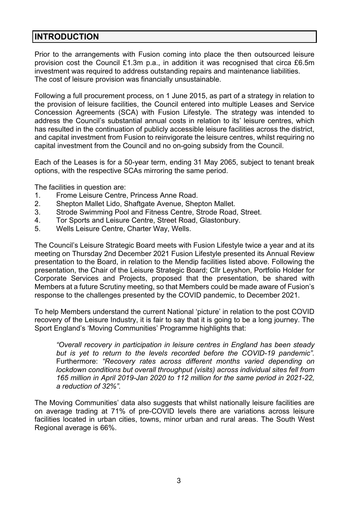#### **INTRODUCTION**

Prior to the arrangements with Fusion coming into place the then outsourced leisure provision cost the Council £1.3m p.a., in addition it was recognised that circa £6.5m investment was required to address outstanding repairs and maintenance liabilities. The cost of leisure provision was financially unsustainable.

Following a full procurement process, on 1 June 2015, as part of a strategy in relation to the provision of leisure facilities, the Council entered into multiple Leases and Service Concession Agreements (SCA) with Fusion Lifestyle. The strategy was intended to address the Council's substantial annual costs in relation to its' leisure centres, which has resulted in the continuation of publicly accessible leisure facilities across the district, and capital investment from Fusion to reinvigorate the leisure centres, whilst requiring no capital investment from the Council and no on-going subsidy from the Council.

Each of the Leases is for a 50-year term, ending 31 May 2065, subject to tenant break options, with the respective SCAs mirroring the same period.

The facilities in question are:

- 1. Frome Leisure Centre, Princess Anne Road.
- 2. Shepton Mallet Lido, Shaftgate Avenue, Shepton Mallet.
- 3. Strode Swimming Pool and Fitness Centre, Strode Road, Street.
- 4. Tor Sports and Leisure Centre, Street Road, Glastonbury.
- 5. Wells Leisure Centre, Charter Way, Wells.

The Council's Leisure Strategic Board meets with Fusion Lifestyle twice a year and at its meeting on Thursday 2nd December 2021 Fusion Lifestyle presented its Annual Review presentation to the Board, in relation to the Mendip facilities listed above. Following the presentation, the Chair of the Leisure Strategic Board; Cllr Leyshon, Portfolio Holder for Corporate Services and Projects, proposed that the presentation, be shared with Members at a future Scrutiny meeting, so that Members could be made aware of Fusion's response to the challenges presented by the COVID pandemic, to December 2021.

To help Members understand the current National 'picture' in relation to the post COVID recovery of the Leisure Industry, it is fair to say that it is going to be a long journey. The Sport England's 'Moving Communities' Programme highlights that:

*"Overall recovery in participation in leisure centres in England has been steady*  but is yet to return to the levels recorded before the COVID-19 pandemic". Furthermore: *"Recovery rates across different months varied depending on lockdown conditions but overall throughput (visits) across individual sites fell from 165 million in April 2019-Jan 2020 to 112 million for the same period in 2021-22, a reduction of 32%".* 

The Moving Communities' data also suggests that whilst nationally leisure facilities are on average trading at 71% of pre-COVID levels there are variations across leisure facilities located in urban cities, towns, minor urban and rural areas. The South West Regional average is 66%.